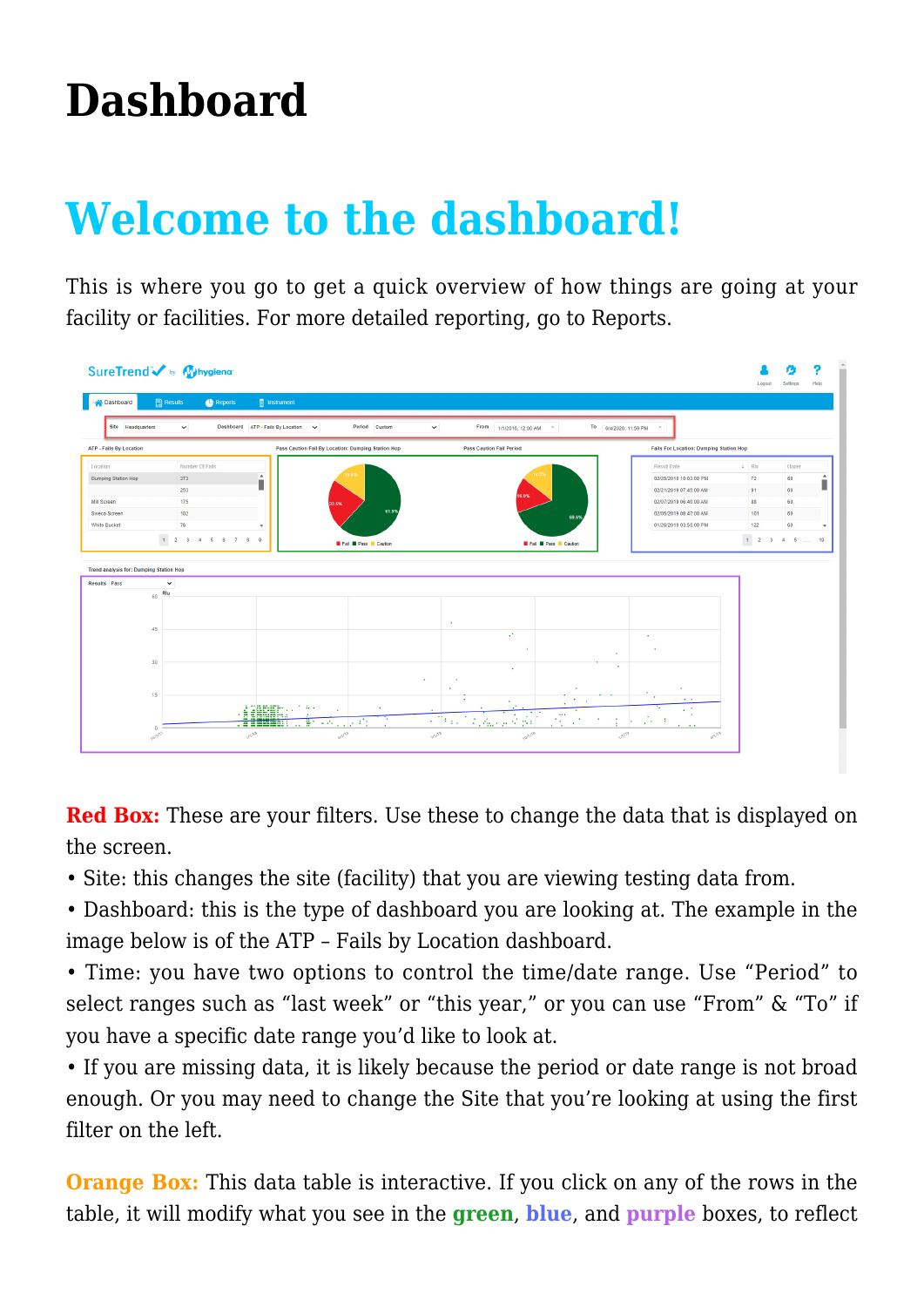## **[Dashboard](https://help.hygiena.com/manual/dashboard/)**

## **Welcome to the dashboard!**

This is where you go to get a quick overview of how things are going at your facility or facilities. For more detailed reporting, go to Reports.



**Red Box:** These are your filters. Use these to change the data that is displayed on the screen.

• Site: this changes the site (facility) that you are viewing testing data from.

• Dashboard: this is the type of dashboard you are looking at. The example in the image below is of the ATP – Fails by Location dashboard.

• Time: you have two options to control the time/date range. Use "Period" to select ranges such as "last week" or "this year," or you can use "From" & "To" if you have a specific date range you'd like to look at.

• If you are missing data, it is likely because the period or date range is not broad enough. Or you may need to change the Site that you're looking at using the first filter on the left.

**Orange Box:** This data table is interactive. If you click on any of the rows in the table, it will modify what you see in the **green**, **blue**, and **purple** boxes, to reflect